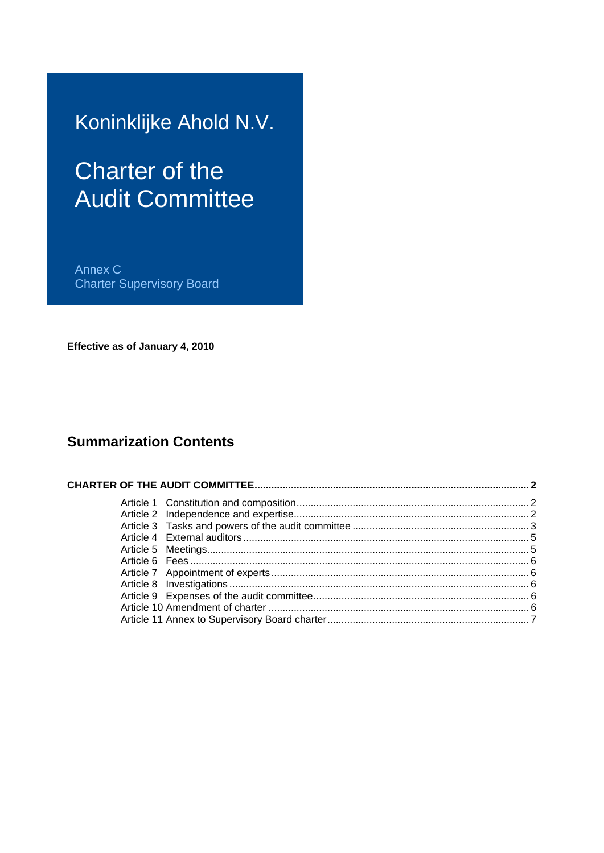## Koninklijke Ahold N.V.

# Charter of the **Audit Committee**

Annex C **Charter Supervisory Board** 

Effective as of January 4, 2010

### **Summarization Contents**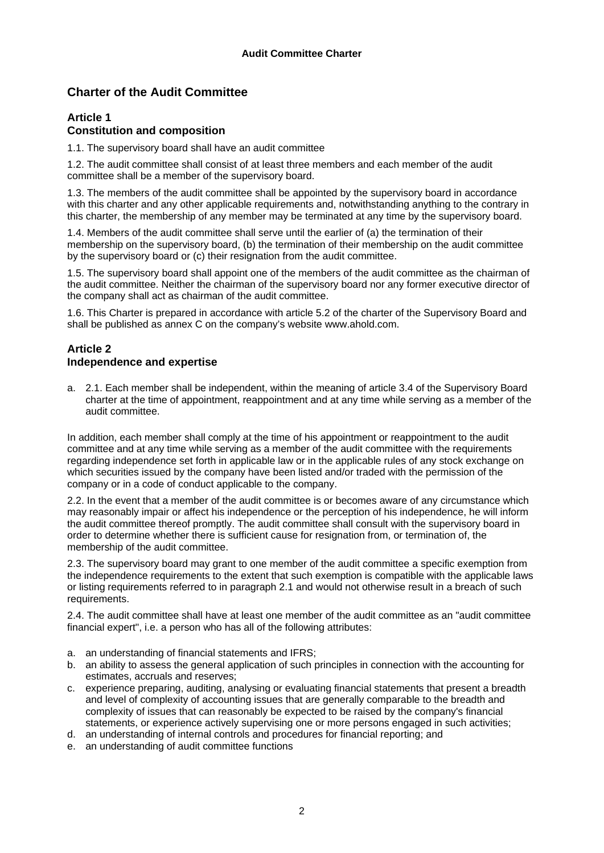#### **Charter of the Audit Committee**

#### **Article 1 Constitution and composition**

1.1. The supervisory board shall have an audit committee

1.2. The audit committee shall consist of at least three members and each member of the audit committee shall be a member of the supervisory board.

1.3. The members of the audit committee shall be appointed by the supervisory board in accordance with this charter and any other applicable requirements and, notwithstanding anything to the contrary in this charter, the membership of any member may be terminated at any time by the supervisory board.

1.4. Members of the audit committee shall serve until the earlier of (a) the termination of their membership on the supervisory board, (b) the termination of their membership on the audit committee by the supervisory board or (c) their resignation from the audit committee.

1.5. The supervisory board shall appoint one of the members of the audit committee as the chairman of the audit committee. Neither the chairman of the supervisory board nor any former executive director of the company shall act as chairman of the audit committee.

1.6. This Charter is prepared in accordance with article 5.2 of the charter of the Supervisory Board and shall be published as annex C on the company's website www.ahold.com.

#### **Article 2 Independence and expertise**

a. 2.1. Each member shall be independent, within the meaning of article 3.4 of the Supervisory Board charter at the time of appointment, reappointment and at any time while serving as a member of the audit committee.

In addition, each member shall comply at the time of his appointment or reappointment to the audit committee and at any time while serving as a member of the audit committee with the requirements regarding independence set forth in applicable law or in the applicable rules of any stock exchange on which securities issued by the company have been listed and/or traded with the permission of the company or in a code of conduct applicable to the company.

2.2. In the event that a member of the audit committee is or becomes aware of any circumstance which may reasonably impair or affect his independence or the perception of his independence, he will inform the audit committee thereof promptly. The audit committee shall consult with the supervisory board in order to determine whether there is sufficient cause for resignation from, or termination of, the membership of the audit committee.

2.3. The supervisory board may grant to one member of the audit committee a specific exemption from the independence requirements to the extent that such exemption is compatible with the applicable laws or listing requirements referred to in paragraph 2.1 and would not otherwise result in a breach of such requirements.

2.4. The audit committee shall have at least one member of the audit committee as an "audit committee financial expert", i.e. a person who has all of the following attributes:

- a. an understanding of financial statements and IFRS;
- b. an ability to assess the general application of such principles in connection with the accounting for estimates, accruals and reserves;
- c. experience preparing, auditing, analysing or evaluating financial statements that present a breadth and level of complexity of accounting issues that are generally comparable to the breadth and complexity of issues that can reasonably be expected to be raised by the company's financial statements, or experience actively supervising one or more persons engaged in such activities;
- d. an understanding of internal controls and procedures for financial reporting; and
- e. an understanding of audit committee functions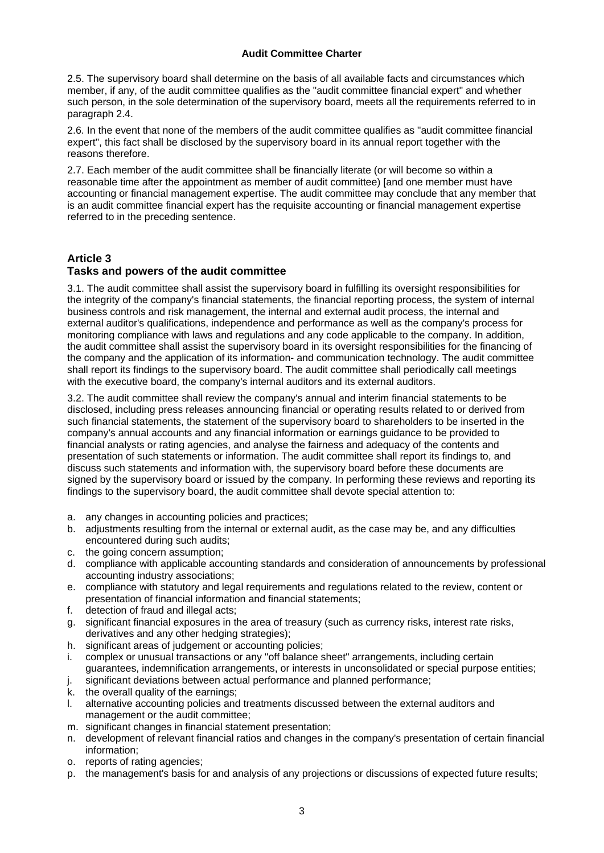#### **Audit Committee Charter**

2.5. The supervisory board shall determine on the basis of all available facts and circumstances which member, if any, of the audit committee qualifies as the "audit committee financial expert" and whether such person, in the sole determination of the supervisory board, meets all the requirements referred to in paragraph 2.4.

2.6. In the event that none of the members of the audit committee qualifies as "audit committee financial expert", this fact shall be disclosed by the supervisory board in its annual report together with the reasons therefore.

2.7. Each member of the audit committee shall be financially literate (or will become so within a reasonable time after the appointment as member of audit committee) [and one member must have accounting or financial management expertise. The audit committee may conclude that any member that is an audit committee financial expert has the requisite accounting or financial management expertise referred to in the preceding sentence.

#### **Article 3 Tasks and powers of the audit committee**

3.1. The audit committee shall assist the supervisory board in fulfilling its oversight responsibilities for the integrity of the company's financial statements, the financial reporting process, the system of internal business controls and risk management, the internal and external audit process, the internal and external auditor's qualifications, independence and performance as well as the company's process for monitoring compliance with laws and regulations and any code applicable to the company. In addition, the audit committee shall assist the supervisory board in its oversight responsibilities for the financing of the company and the application of its information- and communication technology. The audit committee shall report its findings to the supervisory board. The audit committee shall periodically call meetings with the executive board, the company's internal auditors and its external auditors.

3.2. The audit committee shall review the company's annual and interim financial statements to be disclosed, including press releases announcing financial or operating results related to or derived from such financial statements, the statement of the supervisory board to shareholders to be inserted in the company's annual accounts and any financial information or earnings guidance to be provided to financial analysts or rating agencies, and analyse the fairness and adequacy of the contents and presentation of such statements or information. The audit committee shall report its findings to, and discuss such statements and information with, the supervisory board before these documents are signed by the supervisory board or issued by the company. In performing these reviews and reporting its findings to the supervisory board, the audit committee shall devote special attention to:

- a. any changes in accounting policies and practices;
- b. adjustments resulting from the internal or external audit, as the case may be, and any difficulties encountered during such audits;
- c. the going concern assumption;
- d. compliance with applicable accounting standards and consideration of announcements by professional accounting industry associations;
- e. compliance with statutory and legal requirements and regulations related to the review, content or presentation of financial information and financial statements;
- f. detection of fraud and illegal acts;
- g. significant financial exposures in the area of treasury (such as currency risks, interest rate risks, derivatives and any other hedging strategies);
- h. significant areas of judgement or accounting policies;
- i. complex or unusual transactions or any "off balance sheet" arrangements, including certain guarantees, indemnification arrangements, or interests in unconsolidated or special purpose entities;
- j. significant deviations between actual performance and planned performance;
- k. the overall quality of the earnings;
- l. alternative accounting policies and treatments discussed between the external auditors and management or the audit committee;
- m. significant changes in financial statement presentation;
- n. development of relevant financial ratios and changes in the company's presentation of certain financial information;
- o. reports of rating agencies;
- p. the management's basis for and analysis of any projections or discussions of expected future results;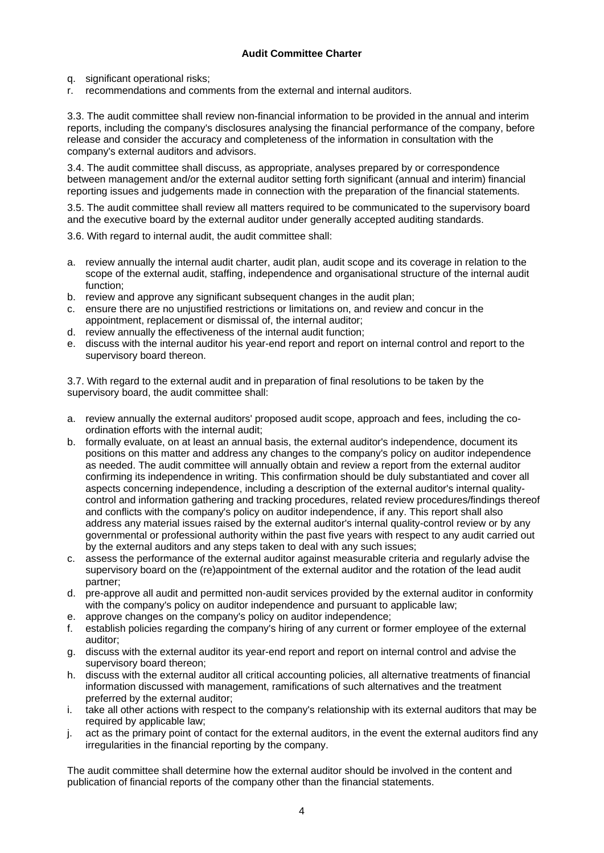- q. significant operational risks;
- r. recommendations and comments from the external and internal auditors.

3.3. The audit committee shall review non-financial information to be provided in the annual and interim reports, including the company's disclosures analysing the financial performance of the company, before release and consider the accuracy and completeness of the information in consultation with the company's external auditors and advisors.

3.4. The audit committee shall discuss, as appropriate, analyses prepared by or correspondence between management and/or the external auditor setting forth significant (annual and interim) financial reporting issues and judgements made in connection with the preparation of the financial statements.

3.5. The audit committee shall review all matters required to be communicated to the supervisory board and the executive board by the external auditor under generally accepted auditing standards.

3.6. With regard to internal audit, the audit committee shall:

- a. review annually the internal audit charter, audit plan, audit scope and its coverage in relation to the scope of the external audit, staffing, independence and organisational structure of the internal audit function;
- b. review and approve any significant subsequent changes in the audit plan;
- c. ensure there are no unjustified restrictions or limitations on, and review and concur in the appointment, replacement or dismissal of, the internal auditor;
- d. review annually the effectiveness of the internal audit function;
- e. discuss with the internal auditor his year-end report and report on internal control and report to the supervisory board thereon.

3.7. With regard to the external audit and in preparation of final resolutions to be taken by the supervisory board, the audit committee shall:

- a. review annually the external auditors' proposed audit scope, approach and fees, including the coordination efforts with the internal audit;
- b. formally evaluate, on at least an annual basis, the external auditor's independence, document its positions on this matter and address any changes to the company's policy on auditor independence as needed. The audit committee will annually obtain and review a report from the external auditor confirming its independence in writing. This confirmation should be duly substantiated and cover all aspects concerning independence, including a description of the external auditor's internal qualitycontrol and information gathering and tracking procedures, related review procedures/findings thereof and conflicts with the company's policy on auditor independence, if any. This report shall also address any material issues raised by the external auditor's internal quality-control review or by any governmental or professional authority within the past five years with respect to any audit carried out by the external auditors and any steps taken to deal with any such issues;
- c. assess the performance of the external auditor against measurable criteria and regularly advise the supervisory board on the (re)appointment of the external auditor and the rotation of the lead audit partner;
- d. pre-approve all audit and permitted non-audit services provided by the external auditor in conformity with the company's policy on auditor independence and pursuant to applicable law;
- e. approve changes on the company's policy on auditor independence;
- f. establish policies regarding the company's hiring of any current or former employee of the external auditor;
- g. discuss with the external auditor its year-end report and report on internal control and advise the supervisory board thereon;
- h. discuss with the external auditor all critical accounting policies, all alternative treatments of financial information discussed with management, ramifications of such alternatives and the treatment preferred by the external auditor;
- i. take all other actions with respect to the company's relationship with its external auditors that may be required by applicable law;
- j. act as the primary point of contact for the external auditors, in the event the external auditors find any irregularities in the financial reporting by the company.

The audit committee shall determine how the external auditor should be involved in the content and publication of financial reports of the company other than the financial statements.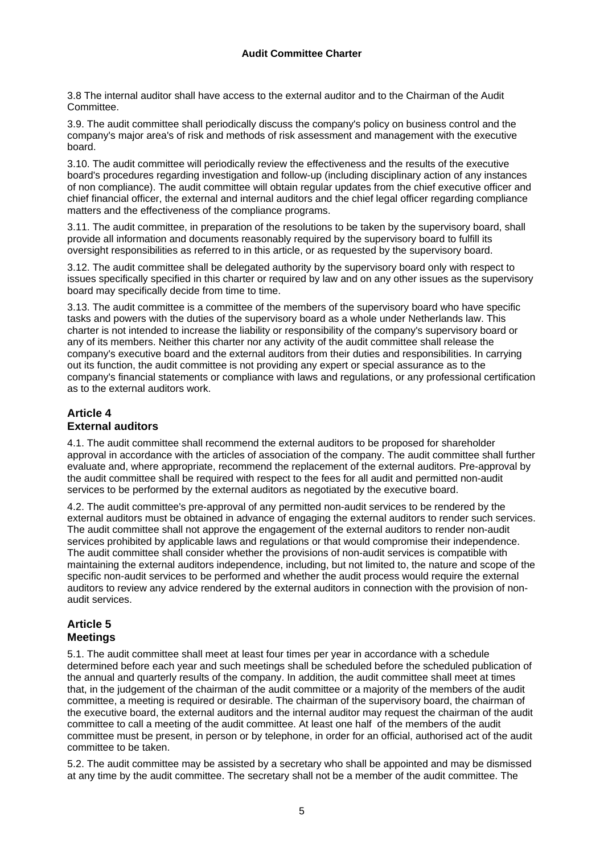3.8 The internal auditor shall have access to the external auditor and to the Chairman of the Audit Committee.

3.9. The audit committee shall periodically discuss the company's policy on business control and the company's major area's of risk and methods of risk assessment and management with the executive board.

3.10. The audit committee will periodically review the effectiveness and the results of the executive board's procedures regarding investigation and follow-up (including disciplinary action of any instances of non compliance). The audit committee will obtain regular updates from the chief executive officer and chief financial officer, the external and internal auditors and the chief legal officer regarding compliance matters and the effectiveness of the compliance programs.

3.11. The audit committee, in preparation of the resolutions to be taken by the supervisory board, shall provide all information and documents reasonably required by the supervisory board to fulfill its oversight responsibilities as referred to in this article, or as requested by the supervisory board.

3.12. The audit committee shall be delegated authority by the supervisory board only with respect to issues specifically specified in this charter or required by law and on any other issues as the supervisory board may specifically decide from time to time.

3.13. The audit committee is a committee of the members of the supervisory board who have specific tasks and powers with the duties of the supervisory board as a whole under Netherlands law. This charter is not intended to increase the liability or responsibility of the company's supervisory board or any of its members. Neither this charter nor any activity of the audit committee shall release the company's executive board and the external auditors from their duties and responsibilities. In carrying out its function, the audit committee is not providing any expert or special assurance as to the company's financial statements or compliance with laws and regulations, or any professional certification as to the external auditors work.

### **Article 4**

#### **External auditors**

4.1. The audit committee shall recommend the external auditors to be proposed for shareholder approval in accordance with the articles of association of the company. The audit committee shall further evaluate and, where appropriate, recommend the replacement of the external auditors. Pre-approval by the audit committee shall be required with respect to the fees for all audit and permitted non-audit services to be performed by the external auditors as negotiated by the executive board.

4.2. The audit committee's pre-approval of any permitted non-audit services to be rendered by the external auditors must be obtained in advance of engaging the external auditors to render such services. The audit committee shall not approve the engagement of the external auditors to render non-audit services prohibited by applicable laws and regulations or that would compromise their independence. The audit committee shall consider whether the provisions of non-audit services is compatible with maintaining the external auditors independence, including, but not limited to, the nature and scope of the specific non-audit services to be performed and whether the audit process would require the external auditors to review any advice rendered by the external auditors in connection with the provision of nonaudit services.

#### **Article 5 Meetings**

5.1. The audit committee shall meet at least four times per year in accordance with a schedule determined before each year and such meetings shall be scheduled before the scheduled publication of the annual and quarterly results of the company. In addition, the audit committee shall meet at times that, in the judgement of the chairman of the audit committee or a majority of the members of the audit committee, a meeting is required or desirable. The chairman of the supervisory board, the chairman of the executive board, the external auditors and the internal auditor may request the chairman of the audit committee to call a meeting of the audit committee. At least one half of the members of the audit committee must be present, in person or by telephone, in order for an official, authorised act of the audit committee to be taken.

5.2. The audit committee may be assisted by a secretary who shall be appointed and may be dismissed at any time by the audit committee. The secretary shall not be a member of the audit committee. The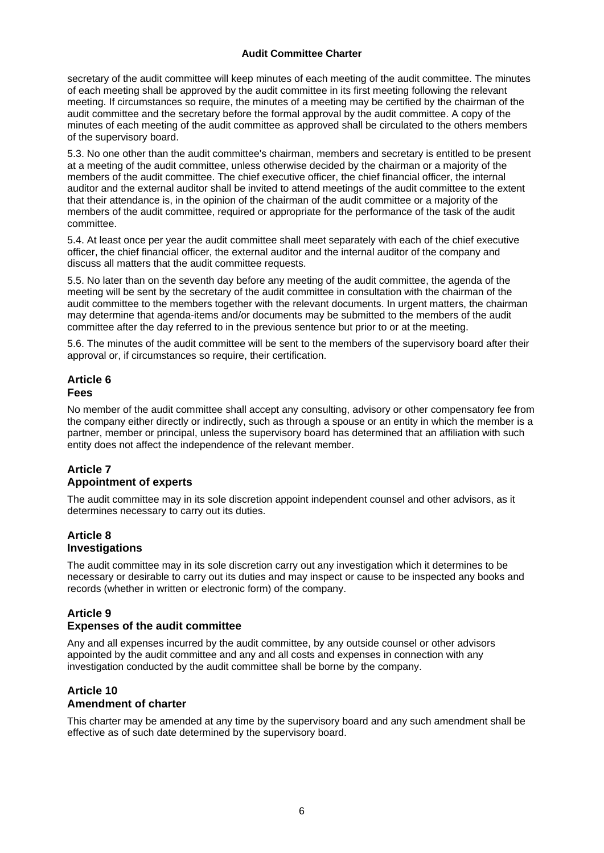#### **Audit Committee Charter**

secretary of the audit committee will keep minutes of each meeting of the audit committee. The minutes of each meeting shall be approved by the audit committee in its first meeting following the relevant meeting. If circumstances so require, the minutes of a meeting may be certified by the chairman of the audit committee and the secretary before the formal approval by the audit committee. A copy of the minutes of each meeting of the audit committee as approved shall be circulated to the others members of the supervisory board.

5.3. No one other than the audit committee's chairman, members and secretary is entitled to be present at a meeting of the audit committee, unless otherwise decided by the chairman or a majority of the members of the audit committee. The chief executive officer, the chief financial officer, the internal auditor and the external auditor shall be invited to attend meetings of the audit committee to the extent that their attendance is, in the opinion of the chairman of the audit committee or a majority of the members of the audit committee, required or appropriate for the performance of the task of the audit committee.

5.4. At least once per year the audit committee shall meet separately with each of the chief executive officer, the chief financial officer, the external auditor and the internal auditor of the company and discuss all matters that the audit committee requests.

5.5. No later than on the seventh day before any meeting of the audit committee, the agenda of the meeting will be sent by the secretary of the audit committee in consultation with the chairman of the audit committee to the members together with the relevant documents. In urgent matters, the chairman may determine that agenda-items and/or documents may be submitted to the members of the audit committee after the day referred to in the previous sentence but prior to or at the meeting.

5.6. The minutes of the audit committee will be sent to the members of the supervisory board after their approval or, if circumstances so require, their certification.

#### **Article 6 Fees**

No member of the audit committee shall accept any consulting, advisory or other compensatory fee from the company either directly or indirectly, such as through a spouse or an entity in which the member is a partner, member or principal, unless the supervisory board has determined that an affiliation with such entity does not affect the independence of the relevant member.

#### **Article 7 Appointment of experts**

The audit committee may in its sole discretion appoint independent counsel and other advisors, as it determines necessary to carry out its duties.

#### **Article 8 Investigations**

The audit committee may in its sole discretion carry out any investigation which it determines to be necessary or desirable to carry out its duties and may inspect or cause to be inspected any books and records (whether in written or electronic form) of the company.

#### **Article 9**

#### **Expenses of the audit committee**

Any and all expenses incurred by the audit committee, by any outside counsel or other advisors appointed by the audit committee and any and all costs and expenses in connection with any investigation conducted by the audit committee shall be borne by the company.

#### **Article 10 Amendment of charter**

This charter may be amended at any time by the supervisory board and any such amendment shall be effective as of such date determined by the supervisory board.